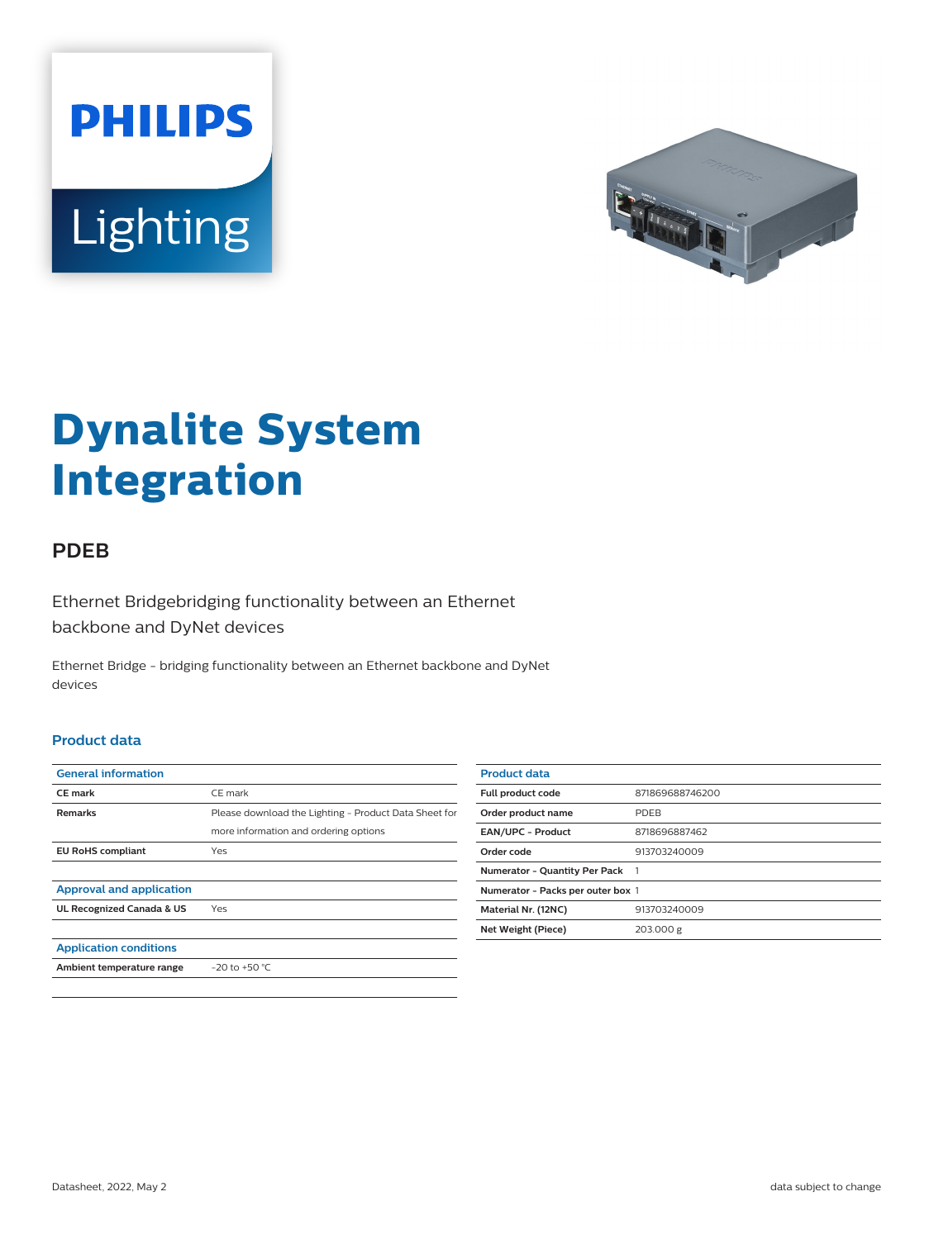



# **Dynalite System Integration**

## **PDEB**

Ethernet Bridgebridging functionality between an Ethernet backbone and DyNet devices

Ethernet Bridge - bridging functionality between an Ethernet backbone and DyNet devices

#### **Product data**

| <b>General information</b>      |                                                       |
|---------------------------------|-------------------------------------------------------|
| <b>CE</b> mark                  | CE mark                                               |
| <b>Remarks</b>                  | Please download the Lighting - Product Data Sheet for |
|                                 | more information and ordering options                 |
| <b>EU RoHS compliant</b>        | Yes                                                   |
|                                 |                                                       |
| <b>Approval and application</b> |                                                       |
| UL Recognized Canada & US       | Yes                                                   |
|                                 |                                                       |
| <b>Application conditions</b>   |                                                       |
| Ambient temperature range       | $-20$ to $+50$ °C                                     |
|                                 |                                                       |

| <b>Product data</b>               |                 |
|-----------------------------------|-----------------|
| Full product code                 | 871869688746200 |
| Order product name                | <b>PDFB</b>     |
| <b>EAN/UPC - Product</b>          | 8718696887462   |
| Order code                        | 913703240009    |
| Numerator - Quantity Per Pack 1   |                 |
| Numerator - Packs per outer box 1 |                 |
| Material Nr. (12NC)               | 913703240009    |
| Net Weight (Piece)                | 203.000 g       |
|                                   |                 |